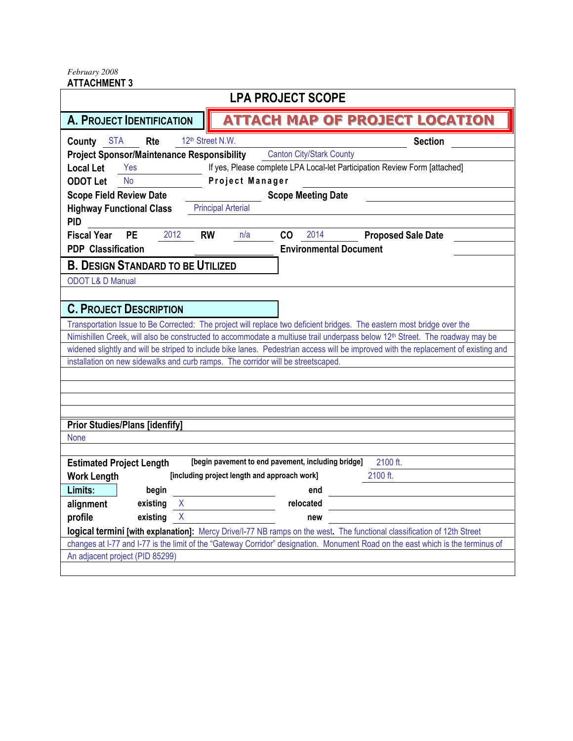*February 2008*  ATTACHMENT 3

|                                                                                  | <b>LPA PROJECT SCOPE</b>                           |                                                                                                                                                                                                                                                                                |
|----------------------------------------------------------------------------------|----------------------------------------------------|--------------------------------------------------------------------------------------------------------------------------------------------------------------------------------------------------------------------------------------------------------------------------------|
| <b>A. PROJECT IDENTIFICATION</b>                                                 |                                                    | <b>ATTACH MAP OF PROJECT LOCATION</b>                                                                                                                                                                                                                                          |
| <b>County STA</b><br>Rte                                                         | 12th Street N.W.                                   | <b>Section</b>                                                                                                                                                                                                                                                                 |
| <b>Project Sponsor/Maintenance Responsibility</b>                                | <b>Canton City/Stark County</b>                    |                                                                                                                                                                                                                                                                                |
| <b>Local Let</b><br>Yes                                                          |                                                    | If yes, Please complete LPA Local-let Participation Review Form [attached]                                                                                                                                                                                                     |
| <b>ODOT Let</b><br><b>No</b>                                                     | Project Manager                                    |                                                                                                                                                                                                                                                                                |
| <b>Scope Field Review Date</b>                                                   | <b>Scope Meeting Date</b>                          |                                                                                                                                                                                                                                                                                |
| <b>Highway Functional Class</b>                                                  | <b>Principal Arterial</b>                          |                                                                                                                                                                                                                                                                                |
| <b>PID</b>                                                                       |                                                    |                                                                                                                                                                                                                                                                                |
| 2012<br><b>Fiscal Year</b><br><b>PE</b>                                          | <b>RW</b><br>CO<br>2014<br>n/a                     | <b>Proposed Sale Date</b>                                                                                                                                                                                                                                                      |
| <b>PDP Classification</b>                                                        |                                                    | <b>Environmental Document</b>                                                                                                                                                                                                                                                  |
| <b>B. DESIGN STANDARD TO BE UTILIZED</b>                                         |                                                    |                                                                                                                                                                                                                                                                                |
| <b>ODOT L&amp; D Manual</b>                                                      |                                                    |                                                                                                                                                                                                                                                                                |
|                                                                                  |                                                    |                                                                                                                                                                                                                                                                                |
| <b>C. PROJECT DESCRIPTION</b>                                                    |                                                    |                                                                                                                                                                                                                                                                                |
|                                                                                  |                                                    |                                                                                                                                                                                                                                                                                |
|                                                                                  |                                                    | Transportation Issue to Be Corrected: The project will replace two deficient bridges. The eastern most bridge over the                                                                                                                                                         |
|                                                                                  |                                                    | Nimishillen Creek, will also be constructed to accommodate a multiuse trail underpass below 12 <sup>th</sup> Street. The roadway may be<br>widened slightly and will be striped to include bike lanes. Pedestrian access will be improved with the replacement of existing and |
| installation on new sidewalks and curb ramps. The corridor will be streetscaped. |                                                    |                                                                                                                                                                                                                                                                                |
|                                                                                  |                                                    |                                                                                                                                                                                                                                                                                |
|                                                                                  |                                                    |                                                                                                                                                                                                                                                                                |
|                                                                                  |                                                    |                                                                                                                                                                                                                                                                                |
|                                                                                  |                                                    |                                                                                                                                                                                                                                                                                |
| <b>Prior Studies/Plans [idenfify]</b>                                            |                                                    |                                                                                                                                                                                                                                                                                |
| <b>None</b>                                                                      |                                                    |                                                                                                                                                                                                                                                                                |
|                                                                                  |                                                    |                                                                                                                                                                                                                                                                                |
| <b>Estimated Project Length</b>                                                  | [begin pavement to end pavement, including bridge] | 2100 ft.                                                                                                                                                                                                                                                                       |
| <b>Work Length</b>                                                               | [including project length and approach work]       | 2100 ft.                                                                                                                                                                                                                                                                       |
| Limits:<br>begin                                                                 | end                                                |                                                                                                                                                                                                                                                                                |
| X<br>alignment<br>existing                                                       | relocated                                          |                                                                                                                                                                                                                                                                                |
| X<br>profile<br>existing                                                         | new                                                |                                                                                                                                                                                                                                                                                |
|                                                                                  |                                                    | logical termini [with explanation]: Mercy Drive/I-77 NB ramps on the west. The functional classification of 12th Street                                                                                                                                                        |
|                                                                                  |                                                    | changes at I-77 and I-77 is the limit of the "Gateway Corridor" designation. Monument Road on the east which is the terminus of                                                                                                                                                |
| An adjacent project (PID 85299)                                                  |                                                    |                                                                                                                                                                                                                                                                                |
|                                                                                  |                                                    |                                                                                                                                                                                                                                                                                |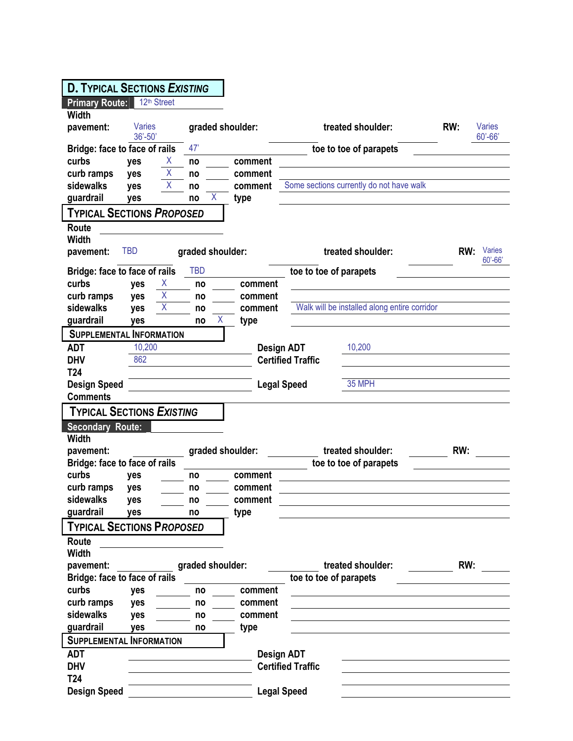| <b>D. TYPICAL SECTIONS EXISTING</b> |                              |                  |                    |                                              |     |                       |
|-------------------------------------|------------------------------|------------------|--------------------|----------------------------------------------|-----|-----------------------|
|                                     |                              |                  |                    |                                              |     |                       |
| <b>Primary Route:</b>               | 12 <sup>th</sup> Street      |                  |                    |                                              |     |                       |
| <b>Width</b>                        |                              |                  |                    |                                              |     |                       |
| pavement:                           | <b>Varies</b><br>$36' - 50'$ |                  | graded shoulder:   | treated shoulder:                            | RW: | Varies<br>$60' - 66'$ |
| Bridge: face to face of rails       |                              | 47'              |                    | toe to toe of parapets                       |     |                       |
| curbs                               | X<br>yes                     | no               | comment            |                                              |     |                       |
| curb ramps                          | Χ<br>yes                     | no               | comment            |                                              |     |                       |
| sidewalks                           | X<br>yes                     | no               | comment            | Some sections currently do not have walk     |     |                       |
| guardrail                           | ves                          | X<br>no          | type               |                                              |     |                       |
| <b>TYPICAL SECTIONS PROPOSED</b>    |                              |                  |                    |                                              |     |                       |
| Route                               |                              |                  |                    |                                              |     |                       |
| <b>Width</b>                        |                              |                  |                    |                                              |     |                       |
| pavement:                           | <b>TBD</b>                   | graded shoulder: |                    | treated shoulder:                            | RW: | Varies<br>$60' - 66'$ |
| Bridge: face to face of rails       |                              | <b>TBD</b>       |                    | toe to toe of parapets                       |     |                       |
| curbs                               | Χ<br>yes                     | no               | comment            |                                              |     |                       |
| curb ramps                          | X<br>yes                     | no               | comment            |                                              |     |                       |
| sidewalks                           | Χ<br>yes                     | no               | comment            | Walk will be installed along entire corridor |     |                       |
| guardrail                           | yes                          | no               | Χ<br>type          |                                              |     |                       |
| <b>SUPPLEMENTAL INFORMATION</b>     |                              |                  |                    |                                              |     |                       |
| <b>ADT</b>                          | 10,200                       |                  | Design ADT         | 10,200                                       |     |                       |
| <b>DHV</b>                          | 862                          |                  |                    | <b>Certified Traffic</b>                     |     |                       |
| T <sub>24</sub>                     |                              |                  |                    |                                              |     |                       |
| <b>Design Speed</b>                 |                              |                  | <b>Legal Speed</b> | 35 MPH                                       |     |                       |
| <b>Comments</b>                     |                              |                  |                    |                                              |     |                       |
| <b>TYPICAL SECTIONS EXISTING</b>    |                              |                  |                    |                                              |     |                       |
| <b>Secondary Route:</b>             |                              |                  |                    |                                              |     |                       |
| <b>Width</b>                        |                              |                  |                    |                                              |     |                       |
| pavement:                           |                              |                  | graded shoulder:   | treated shoulder:                            | RW: |                       |
| Bridge: face to face of rails       |                              |                  |                    | toe to toe of parapets                       |     |                       |
| curbs                               | yes                          | no               | comment            |                                              |     |                       |
| curb ramps                          | yes                          | no               | comment            |                                              |     |                       |
| sidewalks                           | yes                          | no               | comment            |                                              |     |                       |
| guardrail                           | yes                          | no               | type               |                                              |     |                       |
| <b>TYPICAL SECTIONS PROPOSED</b>    |                              |                  |                    |                                              |     |                       |
| Route                               |                              |                  |                    |                                              |     |                       |
| <b>Width</b>                        |                              |                  |                    |                                              |     |                       |
| pavement:                           |                              | graded shoulder: |                    | treated shoulder:                            | RW: |                       |
| Bridge: face to face of rails       |                              |                  |                    | toe to toe of parapets                       |     |                       |
|                                     |                              |                  |                    |                                              |     |                       |
| curbs                               | yes                          | no               | comment            |                                              |     |                       |
| curb ramps                          | yes                          | no               | comment            |                                              |     |                       |
| sidewalks                           | yes                          | no               | comment            |                                              |     |                       |
| guardrail                           | yes                          | no               | type               |                                              |     |                       |
| <b>SUPPLEMENTAL INFORMATION</b>     |                              |                  |                    |                                              |     |                       |
| <b>ADT</b>                          |                              |                  | <b>Design ADT</b>  |                                              |     |                       |
| <b>DHV</b>                          |                              |                  |                    | <b>Certified Traffic</b>                     |     |                       |
| T <sub>24</sub>                     |                              |                  |                    |                                              |     |                       |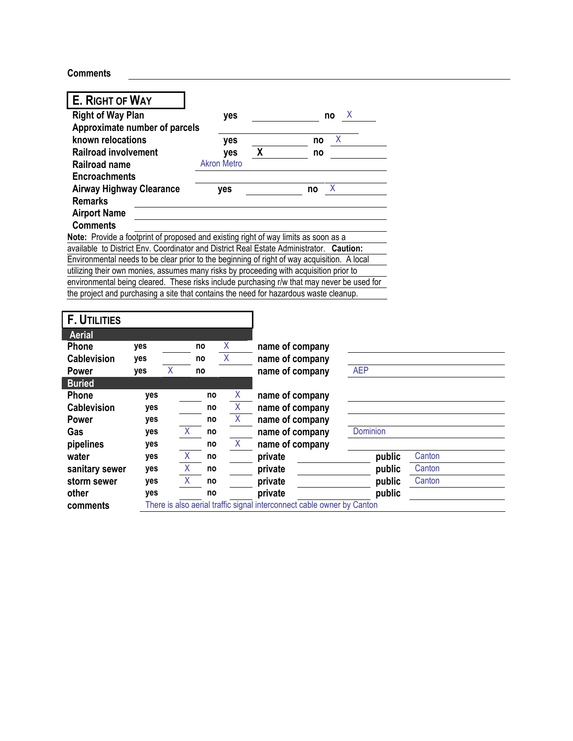**Comments** 

| E. RIGHT OF WAY                 |                |        |                    |                                                                                                                                                                                     |                  |        |
|---------------------------------|----------------|--------|--------------------|-------------------------------------------------------------------------------------------------------------------------------------------------------------------------------------|------------------|--------|
| <b>Right of Way Plan</b>        |                |        | yes                | no                                                                                                                                                                                  | X                |        |
| Approximate number of parcels   |                |        |                    |                                                                                                                                                                                     |                  |        |
| known relocations               |                |        | yes                | no                                                                                                                                                                                  | X                |        |
| <b>Railroad involvement</b>     |                |        | yes                | X<br>no                                                                                                                                                                             |                  |        |
| <b>Railroad name</b>            |                |        | <b>Akron Metro</b> |                                                                                                                                                                                     |                  |        |
| <b>Encroachments</b>            |                |        |                    |                                                                                                                                                                                     |                  |        |
| <b>Airway Highway Clearance</b> |                |        | yes                | X<br>no                                                                                                                                                                             |                  |        |
| <b>Remarks</b>                  |                |        |                    |                                                                                                                                                                                     |                  |        |
| <b>Airport Name</b>             |                |        |                    |                                                                                                                                                                                     |                  |        |
| <b>Comments</b>                 |                |        |                    |                                                                                                                                                                                     |                  |        |
|                                 |                |        |                    | Note: Provide a footprint of proposed and existing right of way limits as soon as a                                                                                                 |                  |        |
|                                 |                |        |                    | available to District Env. Coordinator and District Real Estate Administrator. Caution:                                                                                             |                  |        |
|                                 |                |        |                    | Environmental needs to be clear prior to the beginning of right of way acquisition. A local                                                                                         |                  |        |
|                                 |                |        |                    | utilizing their own monies, assumes many risks by proceeding with acquisition prior to                                                                                              |                  |        |
|                                 |                |        |                    | environmental being cleared. These risks include purchasing r/w that may never be used for<br>the project and purchasing a site that contains the need for hazardous waste cleanup. |                  |        |
|                                 |                |        |                    |                                                                                                                                                                                     |                  |        |
| <b>F. UTILITIES</b>             |                |        |                    |                                                                                                                                                                                     |                  |        |
| <b>Aerial</b>                   |                |        |                    |                                                                                                                                                                                     |                  |        |
| Phone<br>yes                    |                | no     | Χ                  | name of company                                                                                                                                                                     |                  |        |
| <b>Cablevision</b><br>yes       |                | no     | $\overline{X}$     | name of company                                                                                                                                                                     |                  |        |
| yes<br><b>Power</b>             | $\overline{X}$ | no     |                    | name of company                                                                                                                                                                     | <b>AEP</b>       |        |
| <b>Buried</b>                   |                |        |                    |                                                                                                                                                                                     |                  |        |
| Phone                           | yes            |        | X<br>no            | name of company                                                                                                                                                                     |                  |        |
| <b>Cablevision</b>              | yes            |        | $\sf X$<br>no      | name of company                                                                                                                                                                     |                  |        |
| <b>Power</b>                    | yes            |        | X<br>no            | name of company                                                                                                                                                                     |                  |        |
| Gas                             | yes            | X.     | no                 | name of company                                                                                                                                                                     | Dominion         |        |
| pipelines                       | yes            |        | X<br>no            | name of company                                                                                                                                                                     |                  |        |
| water                           |                | X      | no                 |                                                                                                                                                                                     |                  |        |
|                                 |                |        |                    |                                                                                                                                                                                     |                  | Canton |
|                                 | yes            |        | no                 | private                                                                                                                                                                             | public           |        |
| sanitary sewer                  | yes            | X<br>Χ | no                 | private                                                                                                                                                                             | public           | Canton |
| storm sewer<br>other            | yes<br>yes     |        | no                 | private<br>private                                                                                                                                                                  | public<br>public | Canton |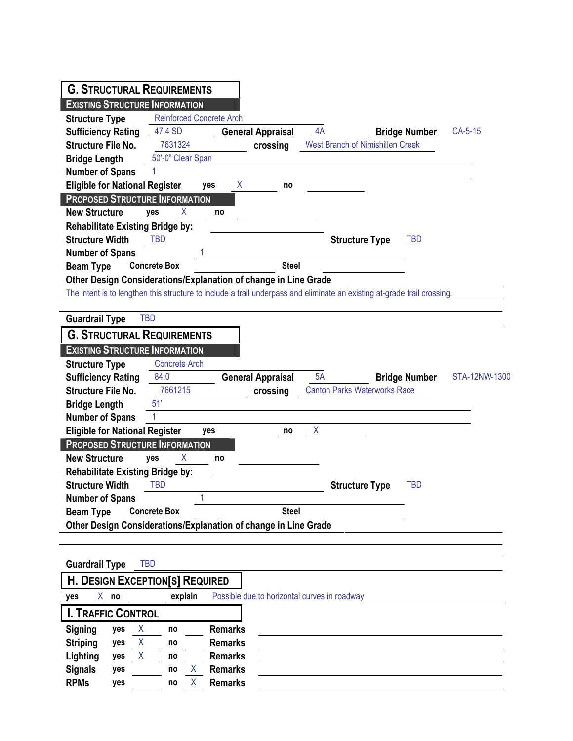| <b>G. STRUCTURAL REQUIREMENTS</b>                               |                                 |                                                                 |                                                                                                                          |                      |               |
|-----------------------------------------------------------------|---------------------------------|-----------------------------------------------------------------|--------------------------------------------------------------------------------------------------------------------------|----------------------|---------------|
| <b>EXISTING STRUCTURE INFORMATION</b>                           |                                 |                                                                 |                                                                                                                          |                      |               |
| <b>Structure Type</b>                                           | <b>Reinforced Concrete Arch</b> |                                                                 |                                                                                                                          |                      |               |
| <b>Sufficiency Rating</b>                                       | 47.4 SD                         | <b>General Appraisal</b>                                        | 4A                                                                                                                       | <b>Bridge Number</b> | CA-5-15       |
| <b>Structure File No.</b>                                       | 7631324                         | crossing                                                        | <b>West Branch of Nimishillen Creek</b>                                                                                  |                      |               |
| <b>Bridge Length</b>                                            | 50'-0" Clear Span               |                                                                 |                                                                                                                          |                      |               |
| <b>Number of Spans</b>                                          | 1                               |                                                                 |                                                                                                                          |                      |               |
| <b>Eligible for National Register</b>                           | yes                             | X<br>no                                                         |                                                                                                                          |                      |               |
| <b>PROPOSED STRUCTURE INFORMATION</b>                           |                                 |                                                                 |                                                                                                                          |                      |               |
| <b>New Structure</b>                                            | X<br>yes                        | no                                                              |                                                                                                                          |                      |               |
| <b>Rehabilitate Existing Bridge by:</b>                         |                                 |                                                                 |                                                                                                                          |                      |               |
| <b>Structure Width</b>                                          | <b>TBD</b>                      |                                                                 | <b>Structure Type</b>                                                                                                    | <b>TBD</b>           |               |
| <b>Number of Spans</b>                                          | 1                               |                                                                 |                                                                                                                          |                      |               |
| <b>Beam Type</b>                                                | <b>Concrete Box</b>             | <b>Steel</b>                                                    |                                                                                                                          |                      |               |
|                                                                 |                                 | Other Design Considerations/Explanation of change in Line Grade |                                                                                                                          |                      |               |
|                                                                 |                                 |                                                                 | The intent is to lengthen this structure to include a trail underpass and eliminate an existing at-grade trail crossing. |                      |               |
| <b>Guardrail Type</b>                                           | <b>TBD</b>                      |                                                                 |                                                                                                                          |                      |               |
| <b>G. STRUCTURAL REQUIREMENTS</b>                               |                                 |                                                                 |                                                                                                                          |                      |               |
| <b>EXISTING STRUCTURE INFORMATION</b>                           |                                 |                                                                 |                                                                                                                          |                      |               |
| <b>Structure Type</b>                                           | <b>Concrete Arch</b>            |                                                                 |                                                                                                                          |                      |               |
| <b>Sufficiency Rating</b>                                       | 84.0                            | <b>General Appraisal</b>                                        | 5A                                                                                                                       | <b>Bridge Number</b> | STA-12NW-1300 |
|                                                                 |                                 |                                                                 |                                                                                                                          |                      |               |
| <b>Structure File No.</b>                                       | 7661215                         |                                                                 | <b>Canton Parks Waterworks Race</b>                                                                                      |                      |               |
|                                                                 | 51'                             | crossing                                                        |                                                                                                                          |                      |               |
| <b>Bridge Length</b>                                            | 1                               |                                                                 |                                                                                                                          |                      |               |
| <b>Number of Spans</b><br><b>Eligible for National Register</b> | yes                             | no                                                              | Χ                                                                                                                        |                      |               |
| <b>PROPOSED STRUCTURE INFORMATION</b>                           |                                 |                                                                 |                                                                                                                          |                      |               |
| <b>New Structure</b>                                            | X<br>yes                        | no                                                              |                                                                                                                          |                      |               |
| <b>Rehabilitate Existing Bridge by:</b>                         |                                 |                                                                 |                                                                                                                          |                      |               |
| <b>Structure Width</b>                                          | <b>TBD</b>                      |                                                                 | <b>Structure Type</b>                                                                                                    | <b>TBD</b>           |               |
| <b>Number of Spans</b>                                          | 1                               |                                                                 |                                                                                                                          |                      |               |
| <b>Beam Type</b>                                                | <b>Concrete Box</b>             | <b>Steel</b>                                                    |                                                                                                                          |                      |               |
|                                                                 |                                 | Other Design Considerations/Explanation of change in Line Grade |                                                                                                                          |                      |               |
|                                                                 |                                 |                                                                 |                                                                                                                          |                      |               |
|                                                                 |                                 |                                                                 |                                                                                                                          |                      |               |
| <b>Guardrail Type</b>                                           | <b>TBD</b>                      |                                                                 |                                                                                                                          |                      |               |
| <b>H. DESIGN EXCEPTION[S] REQUIRED</b>                          |                                 |                                                                 |                                                                                                                          |                      |               |
| $X$ no<br>yes                                                   | explain                         | Possible due to horizontal curves in roadway                    |                                                                                                                          |                      |               |
| <b>I. TRAFFIC CONTROL</b>                                       |                                 |                                                                 |                                                                                                                          |                      |               |
| Signing<br>Χ<br>yes                                             | no                              | <b>Remarks</b>                                                  |                                                                                                                          |                      |               |
| <b>Striping</b><br>yes<br>X                                     | no                              | <b>Remarks</b>                                                  |                                                                                                                          |                      |               |
| Lighting<br>yes<br>X                                            | no                              | <b>Remarks</b>                                                  |                                                                                                                          |                      |               |
| <b>Signals</b><br>yes<br><b>RPMs</b><br>yes                     | Χ<br>no<br>Χ<br>no              | <b>Remarks</b><br><b>Remarks</b>                                |                                                                                                                          |                      |               |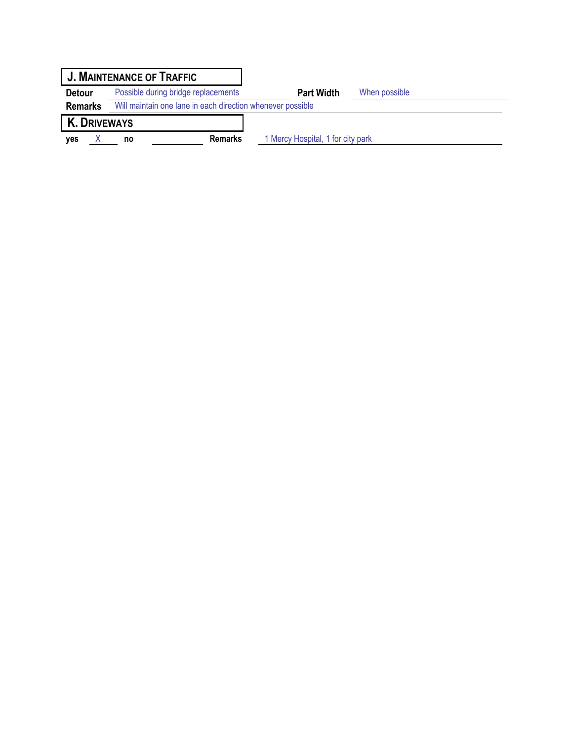|                     | <b>J. MAINTENANCE OF TRAFFIC</b>                           |                                   |               |
|---------------------|------------------------------------------------------------|-----------------------------------|---------------|
| <b>Detour</b>       | Possible during bridge replacements                        | <b>Part Width</b>                 | When possible |
| <b>Remarks</b>      | Will maintain one lane in each direction whenever possible |                                   |               |
| <b>K. DRIVEWAYS</b> |                                                            |                                   |               |
| ves                 | <b>Remarks</b><br>no                                       | 1 Mercy Hospital, 1 for city park |               |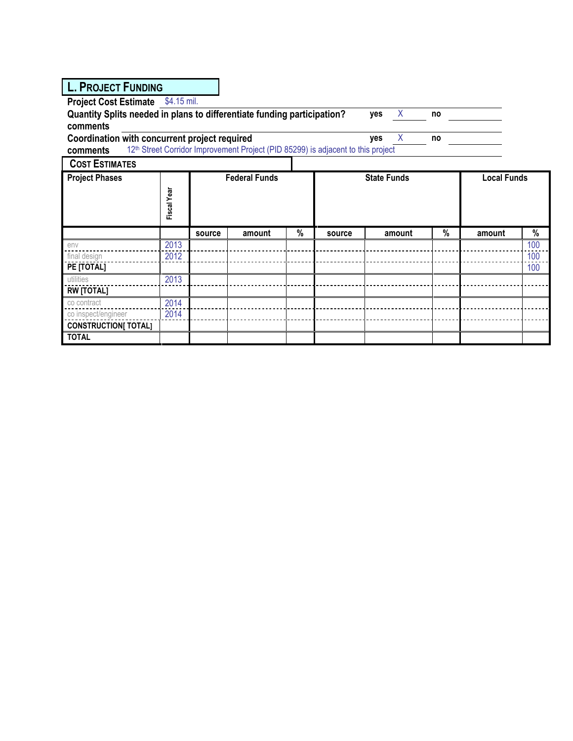| <b>L. PROJECT FUNDING</b>                                                                 |             |        |                                                                                              |   |        |                    |        |    |                    |     |
|-------------------------------------------------------------------------------------------|-------------|--------|----------------------------------------------------------------------------------------------|---|--------|--------------------|--------|----|--------------------|-----|
| <b>Project Cost Estimate</b>                                                              | \$4.15 mil. |        |                                                                                              |   |        |                    |        |    |                    |     |
| Quantity Splits needed in plans to differentiate funding participation?<br>X<br>yes<br>no |             |        |                                                                                              |   |        |                    |        |    |                    |     |
| comments                                                                                  |             |        |                                                                                              |   |        |                    |        |    |                    |     |
| Coordination with concurrent project required                                             |             |        |                                                                                              |   |        | yes                | X      | no |                    |     |
| comments                                                                                  |             |        | 12 <sup>th</sup> Street Corridor Improvement Project (PID 85299) is adjacent to this project |   |        |                    |        |    |                    |     |
| <b>COST ESTIMATES</b>                                                                     |             |        |                                                                                              |   |        |                    |        |    |                    |     |
| <b>Project Phases</b>                                                                     |             |        | <b>Federal Funds</b>                                                                         |   |        | <b>State Funds</b> |        |    | <b>Local Funds</b> |     |
|                                                                                           |             |        |                                                                                              |   |        |                    |        |    |                    |     |
|                                                                                           | Fiscal Year |        |                                                                                              |   |        |                    |        |    |                    |     |
|                                                                                           |             |        |                                                                                              |   |        |                    |        |    |                    |     |
|                                                                                           |             | source | amount                                                                                       | % | source |                    | amount | %  | amount             | %   |
| env                                                                                       | 2013        |        |                                                                                              |   |        |                    |        |    |                    | 100 |
| final design                                                                              | 2012        |        |                                                                                              |   |        |                    |        |    |                    | 100 |
| PE [TOTAL]                                                                                |             |        |                                                                                              |   |        |                    |        |    |                    | 100 |
| utilities                                                                                 | 2013        |        |                                                                                              |   |        |                    |        |    |                    |     |
| <b>RW [TOTAL]</b>                                                                         |             |        |                                                                                              |   |        |                    |        |    |                    |     |
| co contract                                                                               | 2014        |        |                                                                                              |   |        |                    |        |    |                    |     |
| co inspect/engineer                                                                       | 2014        |        |                                                                                              |   |        |                    |        |    |                    |     |
| <b>CONSTRUCTION[ TOTAL]</b>                                                               |             |        |                                                                                              |   |        |                    |        |    |                    |     |
| <b>TOTAL</b>                                                                              |             |        |                                                                                              |   |        |                    |        |    |                    |     |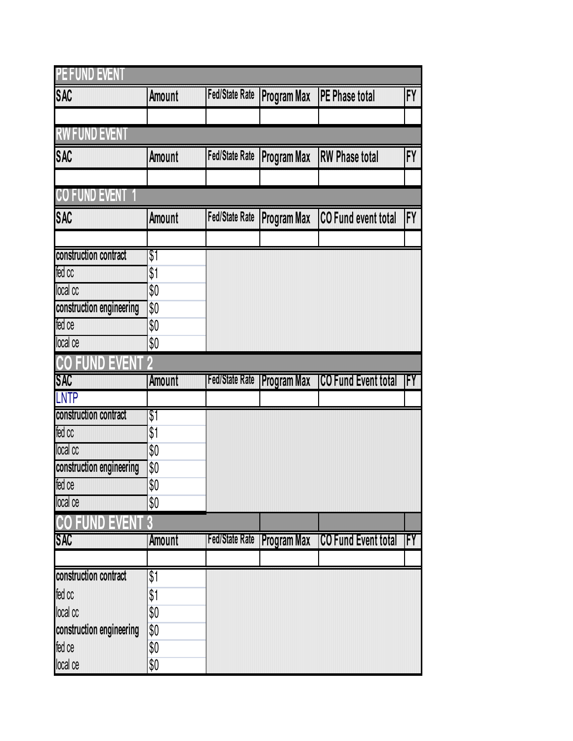| <b>PE FUND EVENT</b>               |               |                       |                                       |                                 |                           |
|------------------------------------|---------------|-----------------------|---------------------------------------|---------------------------------|---------------------------|
| <b>SAC</b>                         | <b>Amount</b> |                       | Fed/State Rate Program Max            | <b>PE Phase total</b>           | $\Gamma'$                 |
|                                    |               |                       |                                       |                                 |                           |
| <b>RW FUND EVENT</b>               |               |                       |                                       |                                 |                           |
| <b>SAC</b>                         | <b>Amount</b> | <b>Fed/State Rate</b> | <b>Program Max</b>                    | <b>RW Phase total</b>           | FY                        |
|                                    |               |                       |                                       |                                 |                           |
| <b>CO FUND EVENT 1</b>             |               |                       |                                       |                                 |                           |
| <b>SAC</b>                         | <b>Amount</b> |                       | Fed/State Rate Program Max            | CO Fund event total             | $\mathsf{F}^{\mathsf{V}}$ |
|                                    |               |                       |                                       |                                 |                           |
| construction contract              | \$1           |                       |                                       |                                 |                           |
| fed co                             | \$1           |                       |                                       |                                 |                           |
| local cc                           | \$0           |                       |                                       |                                 |                           |
| construction engineering           | \$0           |                       |                                       |                                 |                           |
| fed ce                             | \$0           |                       |                                       |                                 |                           |
| local ce                           | \$0           |                       |                                       |                                 |                           |
| <b>CO FUND</b><br>E)<br>/∃         |               |                       |                                       |                                 |                           |
| <b>SAO</b>                         | <b>Amount</b> |                       | <b>Fed/State Rate   Program Max  </b> | <b>COFUnd Event total FY</b>    |                           |
| <b>LNTP</b>                        |               |                       |                                       |                                 |                           |
| construction contract              | \$1           |                       |                                       |                                 |                           |
| fed oo                             | \$1           |                       |                                       |                                 |                           |
| loca co                            | \$0           |                       |                                       |                                 |                           |
| construction engineering           | \$0           |                       |                                       |                                 |                           |
|                                    |               |                       |                                       |                                 |                           |
| fed ce                             | \$0           |                       |                                       |                                 |                           |
| <b>local ce</b>                    | \$0           |                       |                                       |                                 |                           |
| EU<br>ID                           | B             |                       |                                       |                                 |                           |
| 840                                | Amount        |                       | <b>Fed/State Rate Program Max</b>     | <b>ICO Fund Event total IFY</b> |                           |
|                                    |               |                       |                                       |                                 |                           |
| construction contract              | \$1           |                       |                                       |                                 |                           |
| fed cc                             | \$1           |                       |                                       |                                 |                           |
| local co                           | \$0           |                       |                                       |                                 |                           |
| construction engineering<br>fed ce | \$0<br>\$0    |                       |                                       |                                 |                           |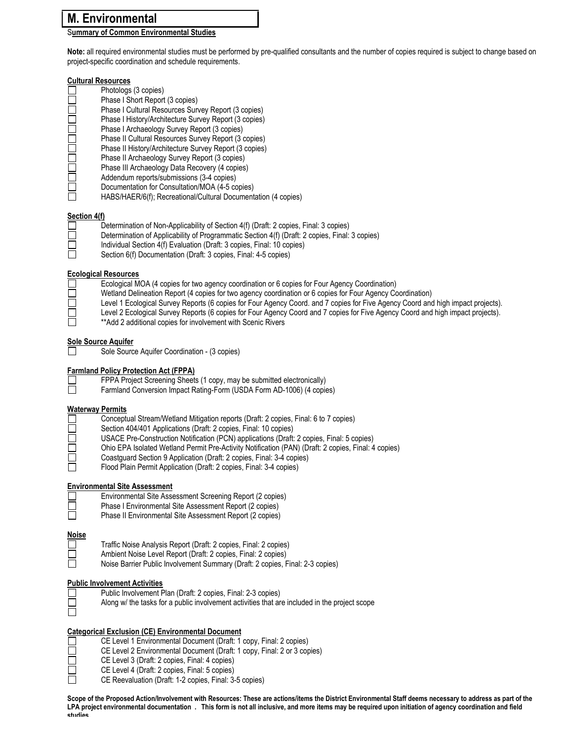# M. Environmental

### Summary of Common Environmental Studies

Note: all required environmental studies must be performed by pre-qualified consultants and the number of copies required is subject to change based on project-specific coordination and schedule requirements.

#### Cultural Resources

|              | Photologs (3 copies)                                           |
|--------------|----------------------------------------------------------------|
|              | Phase I Short Report (3 copies)                                |
|              | Phase I Cultural Resources Survey Report (3 copies)            |
|              | Phase I History/Architecture Survey Report (3 copies)          |
| $\mathsf{I}$ | Phase I Archaeology Survey Report (3 copies)                   |
|              | Phase II Cultural Resources Survey Report (3 copies)           |
| $\mathsf{L}$ | Phase II History/Architecture Survey Report (3 copies)         |
| Г            | Phase II Archaeology Survey Report (3 copies)                  |
| $\mathsf{I}$ | Phase III Archaeology Data Recovery (4 copies)                 |
|              | Addendum reports/submissions (3-4 copies)                      |
|              | Documentation for Consultation/MOA (4-5 copies)                |
|              | HABS/HAER/6(f); Recreational/Cultural Documentation (4 copies) |
|              |                                                                |

## Section 4(f)

F

 $\Box$ 

| . |                                                                                                |
|---|------------------------------------------------------------------------------------------------|
|   | Determination of Non-Applicability of Section 4(f) (Draft: 2 copies, Final: 3 copies)          |
|   | Determination of Applicability of Programmatic Section 4(f) (Draft: 2 copies, Final: 3 copies) |
|   | Individual Section 4(f) Evaluation (Draft: 3 copies, Final: 10 copies)                         |
|   | Section 6(f) Documentation (Draft: 3 copies, Final: 4-5 copies)                                |
|   |                                                                                                |

#### Ecological Resources

| Ecological MOA (4 copies for two agency coordination or 6 copies for Four Agency Coordination)                 |
|----------------------------------------------------------------------------------------------------------------|
| Wetland Delineation Report (4 copies for two agency coordination or 6 copies for Four Agency Coordination)     |
| t and 4 Each stad One on Darrate 10 and a facEast Associa Oceal and 7 and a facEtra Associa Oceal and blub too |

- Level 1 Ecological Survey Reports (6 copies for Four Agency Coord. and 7 copies for Five Agency Coord and high impact projects).
- Level 2 Ecological Survey Reports (6 copies for Four Agency Coord and 7 copies for Five Agency Coord and high impact projects).<br>
The state of additional copies for involvement with Scenic Rivers
	- \*\*Add 2 additional copies for involvement with Scenic Rivers

#### Sole Source Aquifer

Sole Source Aquifer Coordination - (3 copies)

#### Farmland Policy Protection Act (FPPA)

| FPPA Project Screening Sheets (1 copy, may be submitted electronically) |
|-------------------------------------------------------------------------|
|                                                                         |

Farmland Conversion Impact Rating-Form (USDA Form AD-1006) (4 copies)

#### Waterway Permits

| $\perp$        | Conceptual Stream/Wetland Mitigation reports (Draft: 2 copies, Final: 6 to 7 copies)                |
|----------------|-----------------------------------------------------------------------------------------------------|
| $\Box$         | Section 404/401 Applications (Draft: 2 copies, Final: 10 copies)                                    |
| $\Box$         | USACE Pre-Construction Notification (PCN) applications (Draft: 2 copies, Final: 5 copies)           |
| $\Box$         | Ohio EPA Isolated Wetland Permit Pre-Activity Notification (PAN) (Draft: 2 copies, Final: 4 copies) |
| $\mathbb{R}^n$ | Coastquard Section 9 Application (Draft: 2 copies, Final: 3-4 copies)                               |
|                |                                                                                                     |

Flood Plain Permit Application (Draft: 2 copies, Final: 3-4 copies)

#### Environmental Site Assessment

- Environmental Site Assessment Screening Report (2 copies)
	-
- □ Phase I Environmental Site Assessment Report (2 copies)<br>□ Phase II Environmental Site Assessment Report (2 copies) Phase II Environmental Site Assessment Report (2 copies)

#### **Noise**  $\Box$

- Traffic Noise Analysis Report (Draft: 2 copies, Final: 2 copies)
- Ambient Noise Level Report (Draft: 2 copies, Final: 2 copies)
- Noise Barrier Public Involvement Summary (Draft: 2 copies, Final: 2-3 copies)

#### Public Involvement Activities

帀

 $\Box$ 

 $\Box$ 

- Public Involvement Plan (Draft: 2 copies, Final: 2-3 copies)
- Along w/ the tasks for a public involvement activities that are included in the project scope

#### Categorical Exclusion (CE) Environmental Document

- CE Level 1 Environmental Document (Draft: 1 copy, Final: 2 copies) П
- □ CE Level 2 Environmental Document (Draft: 1 copy, Final: 2 or 3 copies)<br>□ CE Level 3 (Draft: 2 copies, Final: 4 copies)
	- CE Level 3 (Draft: 2 copies, Final: 4 copies)
	- CE Level 4 (Draft: 2 copies, Final: 5 copies)
- $\Box$ CE Reevaluation (Draft: 1-2 copies, Final: 3-5 copies)

Scope of the Proposed Action/Involvement with Resources: These are actions/items the District Environmental Staff deems necessary to address as part of the LPA project environmental documentation . This form is not all inclusive, and more items may be required upon initiation of agency coordination and field studies.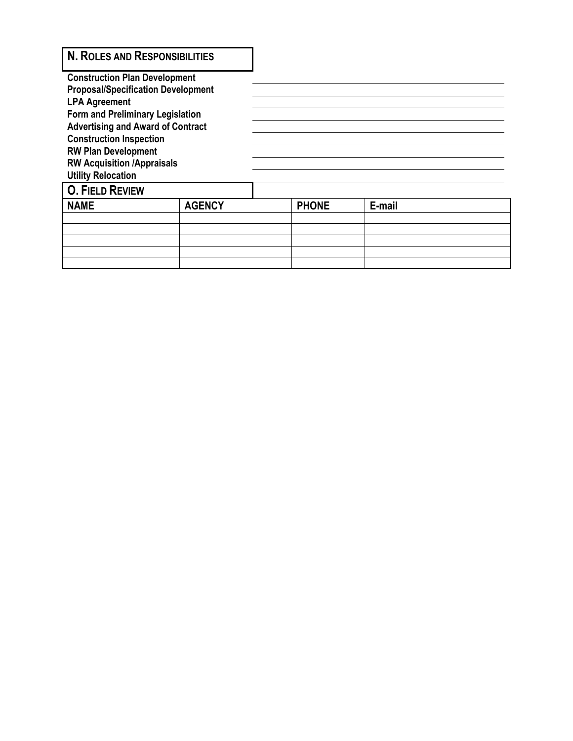| <b>N. ROLES AND RESPONSIBILITIES</b>                                       |               |              |        |  |
|----------------------------------------------------------------------------|---------------|--------------|--------|--|
| <b>Construction Plan Development</b>                                       |               |              |        |  |
| <b>Proposal/Specification Development</b>                                  |               |              |        |  |
| <b>LPA Agreement</b>                                                       |               |              |        |  |
| Form and Preliminary Legislation                                           |               |              |        |  |
| <b>Advertising and Award of Contract</b><br><b>Construction Inspection</b> |               |              |        |  |
| <b>RW Plan Development</b>                                                 |               |              |        |  |
| <b>RW Acquisition /Appraisals</b>                                          |               |              |        |  |
| <b>Utility Relocation</b>                                                  |               |              |        |  |
| <b>O. FIELD REVIEW</b>                                                     |               |              |        |  |
| <b>NAME</b>                                                                | <b>AGENCY</b> | <b>PHONE</b> | E-mail |  |
|                                                                            |               |              |        |  |
|                                                                            |               |              |        |  |
|                                                                            |               |              |        |  |
|                                                                            |               |              |        |  |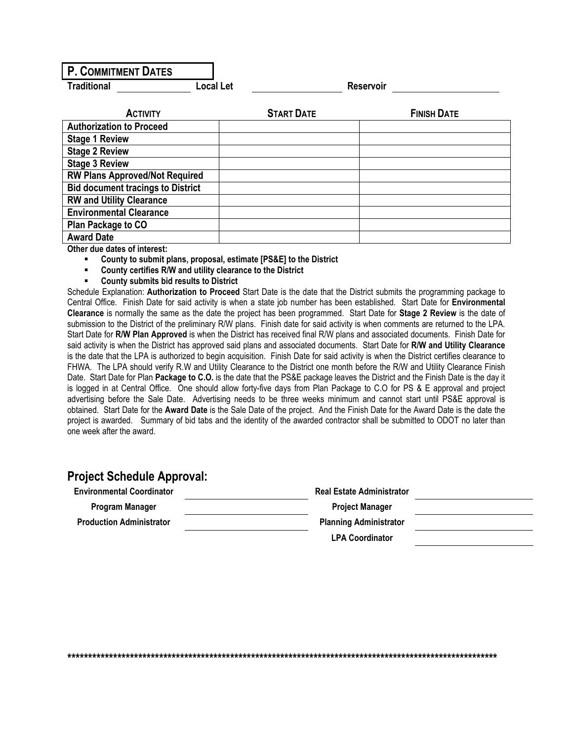# P. COMMITMENT DATES

**Traditional Construction Local Let Reservoir** 

| <b>ACTIVITY</b>                          | <b>START DATE</b> | <b>FINISH DATE</b> |
|------------------------------------------|-------------------|--------------------|
| <b>Authorization to Proceed</b>          |                   |                    |
| <b>Stage 1 Review</b>                    |                   |                    |
| <b>Stage 2 Review</b>                    |                   |                    |
| <b>Stage 3 Review</b>                    |                   |                    |
| <b>RW Plans Approved/Not Required</b>    |                   |                    |
| <b>Bid document tracings to District</b> |                   |                    |
| <b>RW and Utility Clearance</b>          |                   |                    |
| <b>Environmental Clearance</b>           |                   |                    |
| Plan Package to CO                       |                   |                    |
| <b>Award Date</b>                        |                   |                    |

Other due dates of interest:

- County to submit plans, proposal, estimate [PS&E] to the District
- County certifies R/W and utility clearance to the District
- County submits bid results to District

Schedule Explanation: Authorization to Proceed Start Date is the date that the District submits the programming package to Central Office. Finish Date for said activity is when a state job number has been established. Start Date for Environmental Clearance is normally the same as the date the project has been programmed. Start Date for Stage 2 Review is the date of submission to the District of the preliminary R/W plans. Finish date for said activity is when comments are returned to the LPA. Start Date for R/W Plan Approved is when the District has received final R/W plans and associated documents. Finish Date for said activity is when the District has approved said plans and associated documents. Start Date for R/W and Utility Clearance is the date that the LPA is authorized to begin acquisition. Finish Date for said activity is when the District certifies clearance to FHWA. The LPA should verify R.W and Utility Clearance to the District one month before the R/W and Utility Clearance Finish Date. Start Date for Plan Package to C.O. is the date that the PS&E package leaves the District and the Finish Date is the day it is logged in at Central Office. One should allow forty-five days from Plan Package to C.O for PS & E approval and project advertising before the Sale Date. Advertising needs to be three weeks minimum and cannot start until PS&E approval is obtained. Start Date for the Award Date is the Sale Date of the project. And the Finish Date for the Award Date is the date the project is awarded. Summary of bid tabs and the identity of the awarded contractor shall be submitted to ODOT no later than one week after the award.

# Project Schedule Approval:

| <b>Environmental Coordinator</b> | <b>Real Estate Administrator</b> |  |
|----------------------------------|----------------------------------|--|
| Program Manager                  | <b>Project Manager</b>           |  |
| <b>Production Administrator</b>  | <b>Planning Administrator</b>    |  |
|                                  | <b>LPA Coordinator</b>           |  |

\*\*\*\*\*\*\*\*\*\*\*\*\*\*\*\*\*\*\*\*\*\*\*\*\*\*\*\*\*\*\*\*\*\*\*\*\*\*\*\*\*\*\*\*\*\*\*\*\*\*\*\*\*\*\*\*\*\*\*\*\*\*\*\*\*\*\*\*\*\*\*\*\*\*\*\*\*\*\*\*\*\*\*\*\*\*\*\*\*\*\*\*\*\*\*\*\*\*\*\*\*\*\*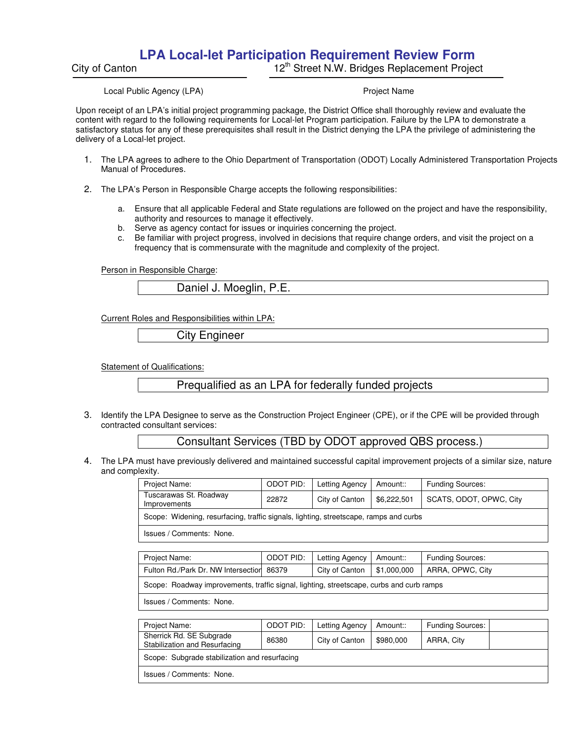# **LPA Local-let Participation Requirement Review Form**

İ

City of Canton **12th Street N.W. Bridges Replacement Project** 

Local Public Agency (LPA) **Project Name** Project Name

Upon receipt of an LPA's initial project programming package, the District Office shall thoroughly review and evaluate the content with regard to the following requirements for Local-let Program participation. Failure by the LPA to demonstrate a satisfactory status for any of these prerequisites shall result in the District denying the LPA the privilege of administering the delivery of a Local-let project.

- 1. The LPA agrees to adhere to the Ohio Department of Transportation (ODOT) Locally Administered Transportation Projects Manual of Procedures.
- 2. The LPA's Person in Responsible Charge accepts the following responsibilities:
	- a. Ensure that all applicable Federal and State regulations are followed on the project and have the responsibility, authority and resources to manage it effectively.
	- b. Serve as agency contact for issues or inquiries concerning the project.
	- c. Be familiar with project progress, involved in decisions that require change orders, and visit the project on a frequency that is commensurate with the magnitude and complexity of the project.

Person in Responsible Charge:

Daniel J. Moeglin, P.E.

Current Roles and Responsibilities within LPA:

City Engineer

Statement of Qualifications:

Prequalified as an LPA for federally funded projects

3. Identify the LPA Designee to serve as the Construction Project Engineer (CPE), or if the CPE will be provided through contracted consultant services:

## Consultant Services (TBD by ODOT approved QBS process.)

4. The LPA must have previously delivered and maintained successful capital improvement projects of a similar size, nature and complexity.

| Project Name:                                                                         | <b>ODOT PID:</b> | Letting Agency | Amount::    | <b>Funding Sources:</b> |
|---------------------------------------------------------------------------------------|------------------|----------------|-------------|-------------------------|
| Tuscarawas St. Roadway<br>Improvements                                                | 22872            | City of Canton | \$6,222,501 | SCATS, ODOT, OPWC, City |
| Scope: Widening, resurfacing, traffic signals, lighting, streetscape, ramps and curbs |                  |                |             |                         |
| Issues / Comments: None.                                                              |                  |                |             |                         |
|                                                                                       |                  |                |             |                         |
| Project Name:                                                                         | ODOT PID:        | Letting Agency | Amount::    | <b>Funding Sources:</b> |

| Project Name:                                                                            | ODOT PID:   Letting Agency   Amount:: | Funding Sources: |
|------------------------------------------------------------------------------------------|---------------------------------------|------------------|
| Fulton Rd./Park Dr. NW Intersection 86379                                                | City of Canton   $$1,000,000$         | ARRA, OPWC, City |
| Scope: Roadway improvements, traffic signal, lighting, streetscape, curbs and curb ramps |                                       |                  |

Issues / Comments: None.

| Project Name:                                             | ODOT PID: | Letting Agency | Amount::  | <b>Funding Sources:</b> |  |
|-----------------------------------------------------------|-----------|----------------|-----------|-------------------------|--|
| Sherrick Rd. SE Subgrade<br>Stabilization and Resurfacing | 86380     | City of Canton | \$980,000 | ARRA, City              |  |
| Scope: Subgrade stabilization and resurfacing             |           |                |           |                         |  |
| Issues / Comments: None.                                  |           |                |           |                         |  |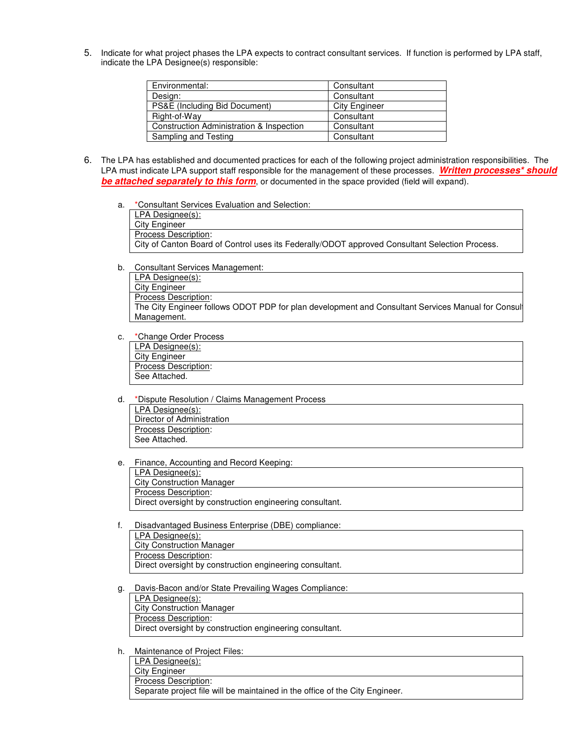5. Indicate for what project phases the LPA expects to contract consultant services. If function is performed by LPA staff, indicate the LPA Designee(s) responsible:

| Environmental:                           | Consultant           |
|------------------------------------------|----------------------|
| Design:                                  | Consultant           |
|                                          |                      |
| PS&E (Including Bid Document)            | <b>City Engineer</b> |
| Right-of-Way                             | Consultant           |
| Construction Administration & Inspection | Consultant           |
| Sampling and Testing                     | Consultant           |

- 6. The LPA has established and documented practices for each of the following project administration responsibilities. The LPA must indicate LPA support staff responsible for the management of these processes. Written processes<sup>\*</sup> should **be attached separately to this form**, or documented in the space provided (field will expand).
	- a. \*Consultant Services Evaluation and Selection:

| LPA Designee(s):                                                                               |
|------------------------------------------------------------------------------------------------|
| City Engineer                                                                                  |
| Process Description:                                                                           |
| City of Canton Board of Control uses its Federally/ODOT approved Consultant Selection Process. |
|                                                                                                |

b. Consultant Services Management:

LPA Designee(s): City Engineer Process Description: The City Engineer follows ODOT PDP for plan development and Consultant Services Manual for Consult Management.

c. \*Change Order Process

| LPA Designee(s):            |  |
|-----------------------------|--|
| City Engineer               |  |
| <b>Process Description:</b> |  |
| See Attached.               |  |

- d. \*Dispute Resolution / Claims Management Process LPA Designee(s): Director of Administration Process Description: See Attached.
- e. Finance, Accounting and Record Keeping:
- LPA Designee(s): City Construction Manager Process Description: Direct oversight by construction engineering consultant.
- f. Disadvantaged Business Enterprise (DBE) compliance:

| LPA Designee(s):                                         |
|----------------------------------------------------------|
| <b>City Construction Manager</b>                         |
| Process Description:                                     |
| Direct oversight by construction engineering consultant. |

g. Davis-Bacon and/or State Prevailing Wages Compliance:

| LPA Designee(s):                                         |
|----------------------------------------------------------|
| <b>City Construction Manager</b>                         |
| Process Description:                                     |
| Direct oversight by construction engineering consultant. |

h. Maintenance of Project Files:

LPA Designee(s): City Engineer Process Description: Separate project file will be maintained in the office of the City Engineer.